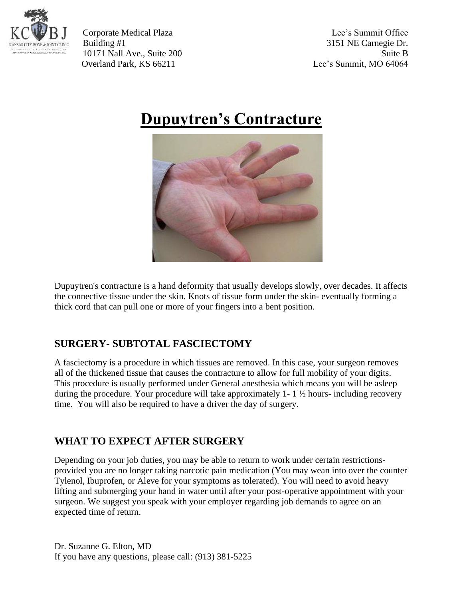

Corporate Medical Plaza Lee's Summit Office Building #1 3151 NE Carnegie Dr. 10171 Nall Ave., Suite 200 Suite B Overland Park, KS 66211 Lee's Summit, MO 64064

## **Dupuytren's Contracture**



Dupuytren's contracture is a hand deformity that usually develops slowly, over decades. It affects the connective tissue under the skin. Knots of tissue form under the skin- eventually forming a thick cord that can pull one or more of your fingers into a bent position.

## **SURGERY- SUBTOTAL FASCIECTOMY**

A fasciectomy is a procedure in which tissues are removed. In this case, your surgeon removes all of the thickened tissue that causes the contracture to allow for full mobility of your digits. This procedure is usually performed under General anesthesia which means you will be asleep during the procedure. Your procedure will take approximately 1- 1 ½ hours- including recovery time. You will also be required to have a driver the day of surgery.

## **WHAT TO EXPECT AFTER SURGERY**

Depending on your job duties, you may be able to return to work under certain restrictionsprovided you are no longer taking narcotic pain medication (You may wean into over the counter Tylenol, Ibuprofen, or Aleve for your symptoms as tolerated). You will need to avoid heavy lifting and submerging your hand in water until after your post-operative appointment with your surgeon. We suggest you speak with your employer regarding job demands to agree on an expected time of return.

Dr. Suzanne G. Elton, MD If you have any questions, please call: (913) 381-5225